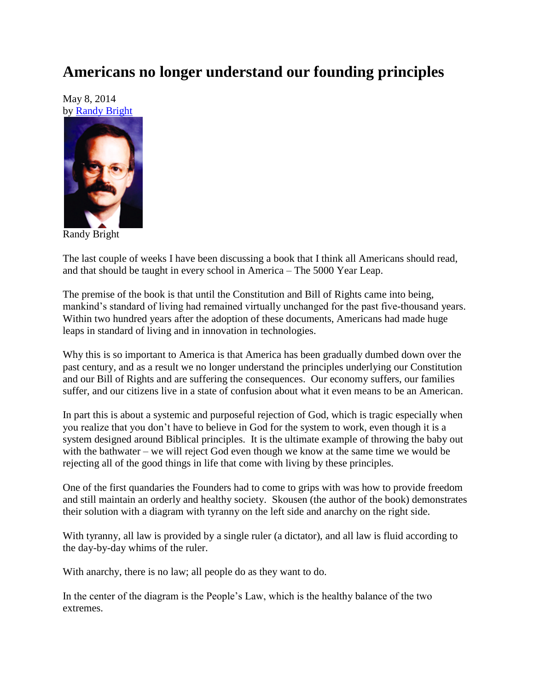## **Americans no longer understand our founding principles**

May 8, 2014 by [Randy Bright](http://tulsabeacon.com/writers/randy-bright/)



Randy Bright

The last couple of weeks I have been discussing a book that I think all Americans should read, and that should be taught in every school in America – The 5000 Year Leap.

The premise of the book is that until the Constitution and Bill of Rights came into being, mankind's standard of living had remained virtually unchanged for the past five-thousand years. Within two hundred years after the adoption of these documents, Americans had made huge leaps in standard of living and in innovation in technologies.

Why this is so important to America is that America has been gradually dumbed down over the past century, and as a result we no longer understand the principles underlying our Constitution and our Bill of Rights and are suffering the consequences. Our economy suffers, our families suffer, and our citizens live in a state of confusion about what it even means to be an American.

In part this is about a systemic and purposeful rejection of God, which is tragic especially when you realize that you don"t have to believe in God for the system to work, even though it is a system designed around Biblical principles. It is the ultimate example of throwing the baby out with the bathwater – we will reject God even though we know at the same time we would be rejecting all of the good things in life that come with living by these principles.

One of the first quandaries the Founders had to come to grips with was how to provide freedom and still maintain an orderly and healthy society. Skousen (the author of the book) demonstrates their solution with a diagram with tyranny on the left side and anarchy on the right side.

With tyranny, all law is provided by a single ruler (a dictator), and all law is fluid according to the day-by-day whims of the ruler.

With anarchy, there is no law; all people do as they want to do.

In the center of the diagram is the People"s Law, which is the healthy balance of the two extremes.